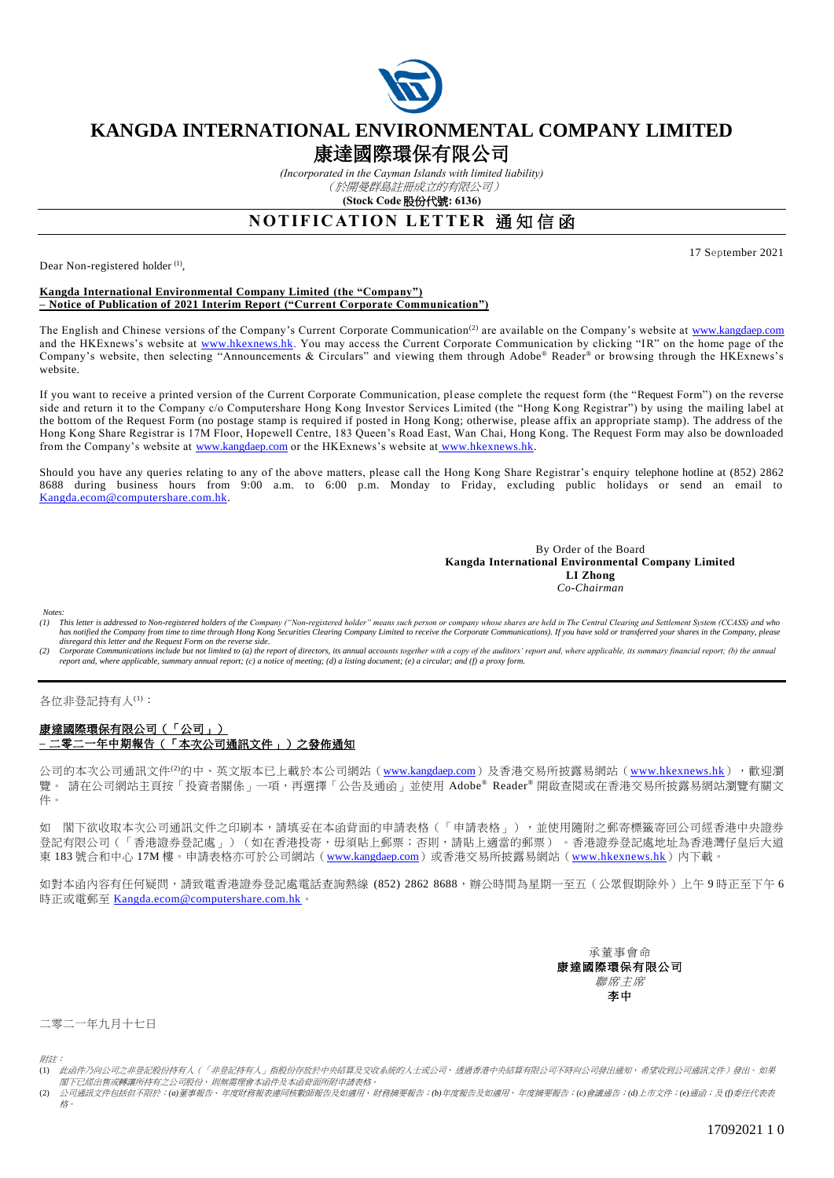

## **KANGDA INTERNATIONAL ENVIRONMENTAL COMPANY LIMITED**

# 康達國際環保有限公司

*(Incorporated in the Cayman Islands with limited liability)* (於開曼群島註冊成立的有限公司)

**(Stock Code** 股份代號**: 6136)**

### **NOTIFICATION LETTER 通知信函**

Dear Non-registered holder<sup>(1)</sup>,

17 September 2021

#### **Kangda International Environmental Company Limited (the "Company") – Notice of Publication of 2021 Interim Report ("Current Corporate Communication")**

The English and Chinese versions of the Company's Current Corporate Communication<sup>(2)</sup> are available on the Company's website at [www.kangdaep.com](http://www.kangdaep.com/) and the HKExnews's website at [www.hkexnews.hk.](file:///C:/Documents%20and%20Settings/tsangf/tsangf/Local%20Settings/Temporary%20Internet%20Files/Content.Outlook/6T8O1404/www.hkexnews.hk) You may access the Current Corporate Communication by clicking "IR" on the home page of the Company's website, then selecting "Announcements & Circulars" and viewing them through Adobe® Reader® or browsing through the HKExnews's website.

If you want to receive a printed version of the Current Corporate Communication, please complete the request form (the "Request Form") on the reverse side and return it to the Company c/o Computershare Hong Kong Investor Services Limited (the "Hong Kong Registrar") by using the mailing label at the bottom of the Request Form (no postage stamp is required if posted in Hong Kong; otherwise, please affix an appropriate stamp). The address of the Hong Kong Share Registrar is 17M Floor, Hopewell Centre, 183 Queen's Road East, Wan Chai, Hong Kong. The Request Form may also be downloaded from the Company's website at [www.kangdaep.com](http://www.kangdaep.com/) or the HKExnews's website at [www.hkexnews.hk.](http://www.hkexnews.hk/)

Should you have any queries relating to any of the above matters, please call the Hong Kong Share Registrar's enquiry telephone hotline at (852) 2862 8688 during business hours from 9:00 a.m. to 6:00 p.m. Monday to Friday, excluding public holidays or send an email to [Kangda.ecom@computershare.com.hk.](mailto:Kangda.ecom@computershare.com.hk)

> By Order of the Board **Kangda International Environmental Company Limited LI Zhong** *Co-Chairman*

*Notes:*<br>(1) **1** 

- (1) This letter is addressed to Non-registered holders of the Company ("Non-registered holder" means such person or company whose shares are held in The Central Clearing and Settlement System (CCASS) and who<br>has notified t *disregard this letter and the Request Form on the reverse side.*
- Corporate Communications include but not limited to (a) the report of directors, its annual accounts together with a copy of the auditors' report and, where applicable, its summary financial report; (b) the annual *report and, where applicable, summary annual report; (c) a notice of meeting; (d) a listing document; (e) a circular; and (f) a proxy form.*

各位非登記持有人(1):

#### 康達國際環保有限公司(「公司」) **–** 二零二一年中期報告(「本次公司通訊文件」)之發佈通知

公司的本次公司通訊文件<sup>(2)</sup>的中、英文版本已上載於本公司網站([www.kangdaep.com](http://www.kangdaep.com/))及香港交易所披露易網站([www.hkexnews.hk](http://www.hkexnews.hk/)),觀迎瀏 覽。 請在公司網站主頁按「投資者關係」一項,再選擇「公告及通函」並使用 Adobe® Reader® 開啟查閱或在香港交易所披露易網站瀏覽有關文 件。

如 閣下欲收取本次公司通訊文件之印刷本,請填妥在本函背面的申請表格(「申請表格」),並使用隨附之郵寄標籤寄回公司經香港中央證券 登記有限公司(「香港證券登記處」)(如在香港投寄,毋須貼上郵票;否則,請貼上適當的郵票) 。香港證券登記處地址為香港灣仔皇后大道 東 183 號合和中心 17M 樓。申請表格亦可於公司網站 ([www.kangdaep.com](http://www.kangdaep.com/))或香港交易所披露易網站 ([www.hkexnews.hk](http://www.hkexnews.hk/)) 內下載。

如對本函內容有任何疑問,請致電香港證券登記處電話查詢熱線 (852) 2862 8688,辦公時間為星期一至五(公眾假期除外)上午9時正至下午6 時正或電郵至 [Kangda.ecom@computershare.com.hk](mailto:Kangda.ecom@computershare.com.hk)。

> 承董事會命 康達國際環保有限公司 聯席主席 李中

二零二一年九月十七日

附註:

(2) 公司通訊文件包括但不限於:*(a)*董事報告、年度財務報表連同核數師報告及如適用,財務摘要報告;*(b)*年度報告及如適用,年度摘要報告;*(c)*會議通告;*(d)*上市文件;*(e)*通函;及 *(f)*委任代表表 格。

<sup>……&</sup>lt;br>(1) 此函件乃向公司之非登記股份持有人(「非登記持有人」指股份存放於中央結算及交收系統的人士或公司,透過香港中央結算有限公司不時向公司發出通知,希望收到公司通訊文件)發出。如果 閣下已經出售或轉讓所持有之公司股份,則無需理會本函件及本函背面所附申請表格。